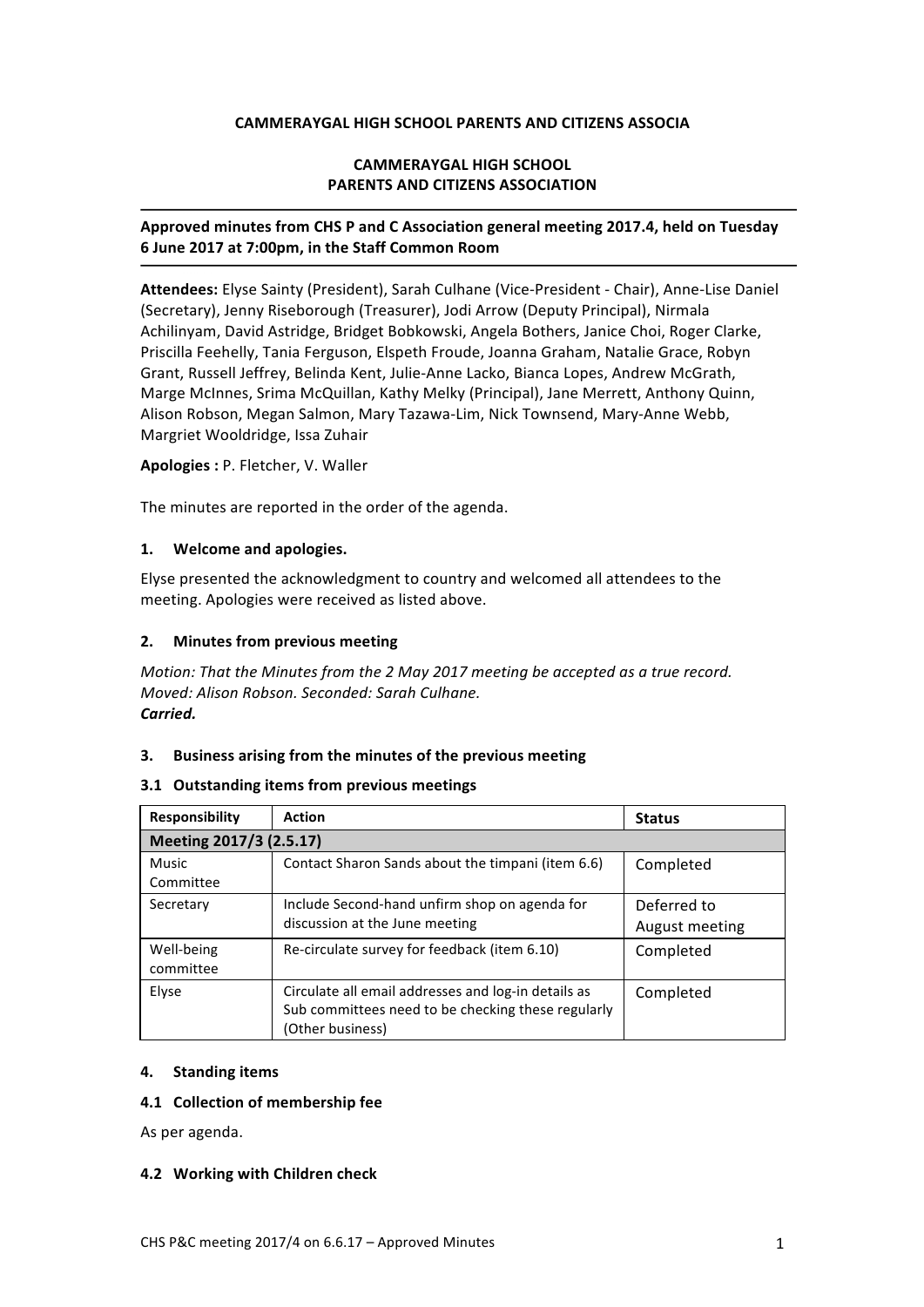### **CAMMERAYGAL HIGH SCHOOL PARENTS AND CITIZENS ASSOCIA**

## **CAMMERAYGAL HIGH SCHOOL PARENTS AND CITIZENS ASSOCIATION**

# Approved minutes from CHS P and C Association general meeting 2017.4, held on Tuesday **6 June 2017 at 7:00pm, in the Staff Common Room**

Attendees: Elyse Sainty (President), Sarah Culhane (Vice-President - Chair), Anne-Lise Daniel (Secretary), Jenny Riseborough (Treasurer), Jodi Arrow (Deputy Principal), Nirmala Achilinyam, David Astridge, Bridget Bobkowski, Angela Bothers, Janice Choi, Roger Clarke, Priscilla Feehelly, Tania Ferguson, Elspeth Froude, Joanna Graham, Natalie Grace, Robyn Grant, Russell Jeffrey, Belinda Kent, Julie-Anne Lacko, Bianca Lopes, Andrew McGrath, Marge McInnes, Srima McQuillan, Kathy Melky (Principal), Jane Merrett, Anthony Quinn, Alison Robson, Megan Salmon, Mary Tazawa-Lim, Nick Townsend, Mary-Anne Webb, Margriet Wooldridge, Issa Zuhair

### **Apologies :** P. Fletcher, V. Waller

The minutes are reported in the order of the agenda.

### **1. Welcome and apologies.**

Elyse presented the acknowledgment to country and welcomed all attendees to the meeting. Apologies were received as listed above.

### **2.** Minutes from previous meeting

*Motion:* That the Minutes from the 2 May 2017 meeting be accepted as a true record. *Moved: Alison Robson. Seconded: Sarah Culhane. Carried.*

## **3.** Business arising from the minutes of the previous meeting

#### **3.1 Outstanding items from previous meetings**

| <b>Responsibility</b>     | <b>Action</b>                                                                                                                 | <b>Status</b>                 |
|---------------------------|-------------------------------------------------------------------------------------------------------------------------------|-------------------------------|
| Meeting 2017/3 (2.5.17)   |                                                                                                                               |                               |
| <b>Music</b><br>Committee | Contact Sharon Sands about the timpani (item 6.6)                                                                             | Completed                     |
| Secretary                 | Include Second-hand unfirm shop on agenda for<br>discussion at the June meeting                                               | Deferred to<br>August meeting |
| Well-being<br>committee   | Re-circulate survey for feedback (item 6.10)                                                                                  | Completed                     |
| Elyse                     | Circulate all email addresses and log-in details as<br>Sub committees need to be checking these regularly<br>(Other business) | Completed                     |

#### **4. Standing items**

#### **4.1 Collection of membership fee**

As per agenda.

#### **4.2 Working with Children check**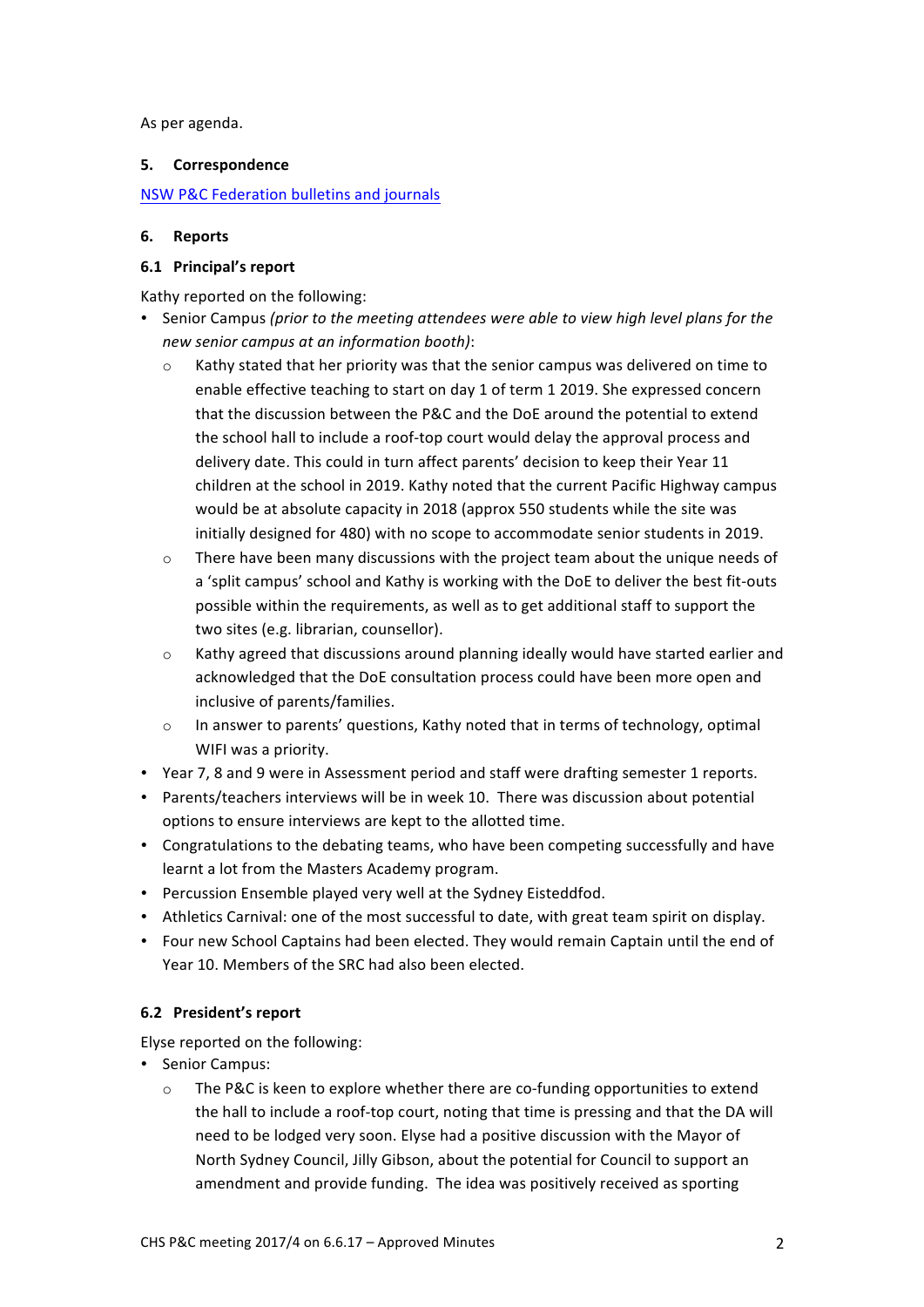As per agenda.

# **5. Correspondence**

# NSW P&C Federation bulletins and journals

# **6. Reports**

# **6.1 Principal's report**

Kathy reported on the following:

- Senior Campus *(prior to the meeting attendees were able to view high level plans for the new senior campus at an information booth)*:
	- $\circ$  Kathy stated that her priority was that the senior campus was delivered on time to enable effective teaching to start on day 1 of term 1 2019. She expressed concern that the discussion between the P&C and the DoE around the potential to extend the school hall to include a roof-top court would delay the approval process and delivery date. This could in turn affect parents' decision to keep their Year 11 children at the school in 2019. Kathy noted that the current Pacific Highway campus would be at absolute capacity in 2018 (approx 550 students while the site was initially designed for 480) with no scope to accommodate senior students in 2019.
	- $\circ$  There have been many discussions with the project team about the unique needs of a 'split campus' school and Kathy is working with the DoE to deliver the best fit-outs possible within the requirements, as well as to get additional staff to support the two sites (e.g. librarian, counsellor).
	- o Kathy agreed that discussions around planning ideally would have started earlier and acknowledged that the DoE consultation process could have been more open and inclusive of parents/families.
	- $\circ$  In answer to parents' questions, Kathy noted that in terms of technology, optimal WIFI was a priority.
- Year 7, 8 and 9 were in Assessment period and staff were drafting semester 1 reports.
- Parents/teachers interviews will be in week 10. There was discussion about potential options to ensure interviews are kept to the allotted time.
- Congratulations to the debating teams, who have been competing successfully and have learnt a lot from the Masters Academy program.
- Percussion Ensemble played very well at the Sydney Eisteddfod.
- Athletics Carnival: one of the most successful to date, with great team spirit on display.
- Four new School Captains had been elected. They would remain Captain until the end of Year 10. Members of the SRC had also been elected.

# **6.2 President's report**

Elyse reported on the following:

- Senior Campus:
	- $\circ$  The P&C is keen to explore whether there are co-funding opportunities to extend the hall to include a roof-top court, noting that time is pressing and that the DA will need to be lodged very soon. Elyse had a positive discussion with the Mayor of North Sydney Council, Jilly Gibson, about the potential for Council to support an amendment and provide funding. The idea was positively received as sporting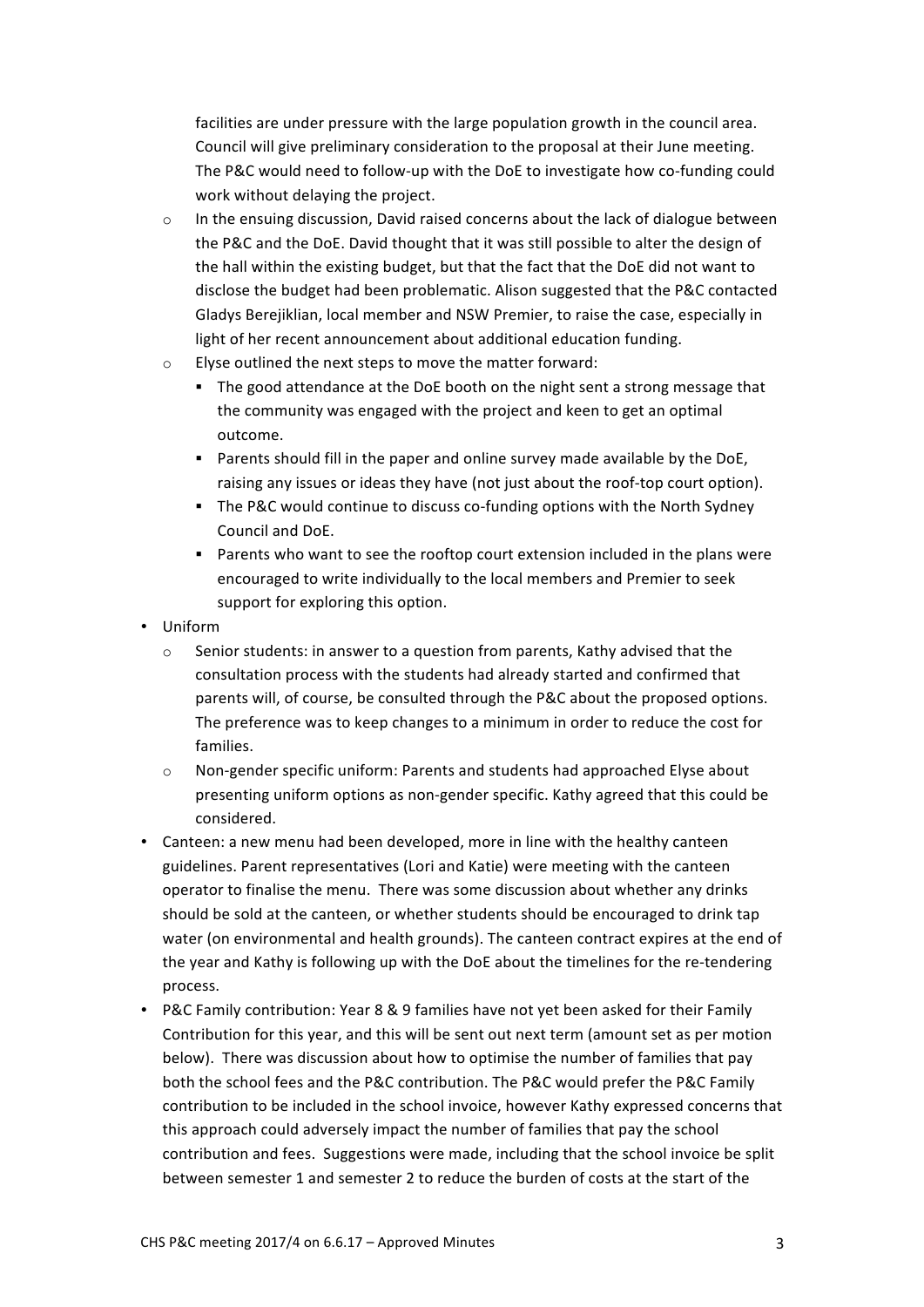facilities are under pressure with the large population growth in the council area. Council will give preliminary consideration to the proposal at their June meeting. The P&C would need to follow-up with the DoE to investigate how co-funding could work without delaying the project.

- $\circ$  In the ensuing discussion, David raised concerns about the lack of dialogue between the P&C and the DoE. David thought that it was still possible to alter the design of the hall within the existing budget, but that the fact that the DoE did not want to disclose the budget had been problematic. Alison suggested that the P&C contacted Gladys Berejiklian, local member and NSW Premier, to raise the case, especially in light of her recent announcement about additional education funding.
- $\circ$  Elyse outlined the next steps to move the matter forward:
	- The good attendance at the DoE booth on the night sent a strong message that the community was engaged with the project and keen to get an optimal outcome.
	- Parents should fill in the paper and online survey made available by the DoE, raising any issues or ideas they have (not just about the roof-top court option).
	- **•** The P&C would continue to discuss co-funding options with the North Sydney Council and DoE.
	- Parents who want to see the rooftop court extension included in the plans were encouraged to write individually to the local members and Premier to seek support for exploring this option.
- Uniform
	- $\circ$  Senior students: in answer to a question from parents, Kathy advised that the consultation process with the students had already started and confirmed that parents will, of course, be consulted through the P&C about the proposed options. The preference was to keep changes to a minimum in order to reduce the cost for families.
	- $\circ$  Non-gender specific uniform: Parents and students had approached Elyse about presenting uniform options as non-gender specific. Kathy agreed that this could be considered.
- Canteen: a new menu had been developed, more in line with the healthy canteen guidelines. Parent representatives (Lori and Katie) were meeting with the canteen operator to finalise the menu. There was some discussion about whether any drinks should be sold at the canteen, or whether students should be encouraged to drink tap water (on environmental and health grounds). The canteen contract expires at the end of the year and Kathy is following up with the DoE about the timelines for the re-tendering process.
- P&C Family contribution: Year 8 & 9 families have not yet been asked for their Family Contribution for this year, and this will be sent out next term (amount set as per motion below). There was discussion about how to optimise the number of families that pay both the school fees and the P&C contribution. The P&C would prefer the P&C Family contribution to be included in the school invoice, however Kathy expressed concerns that this approach could adversely impact the number of families that pay the school contribution and fees. Suggestions were made, including that the school invoice be split between semester 1 and semester 2 to reduce the burden of costs at the start of the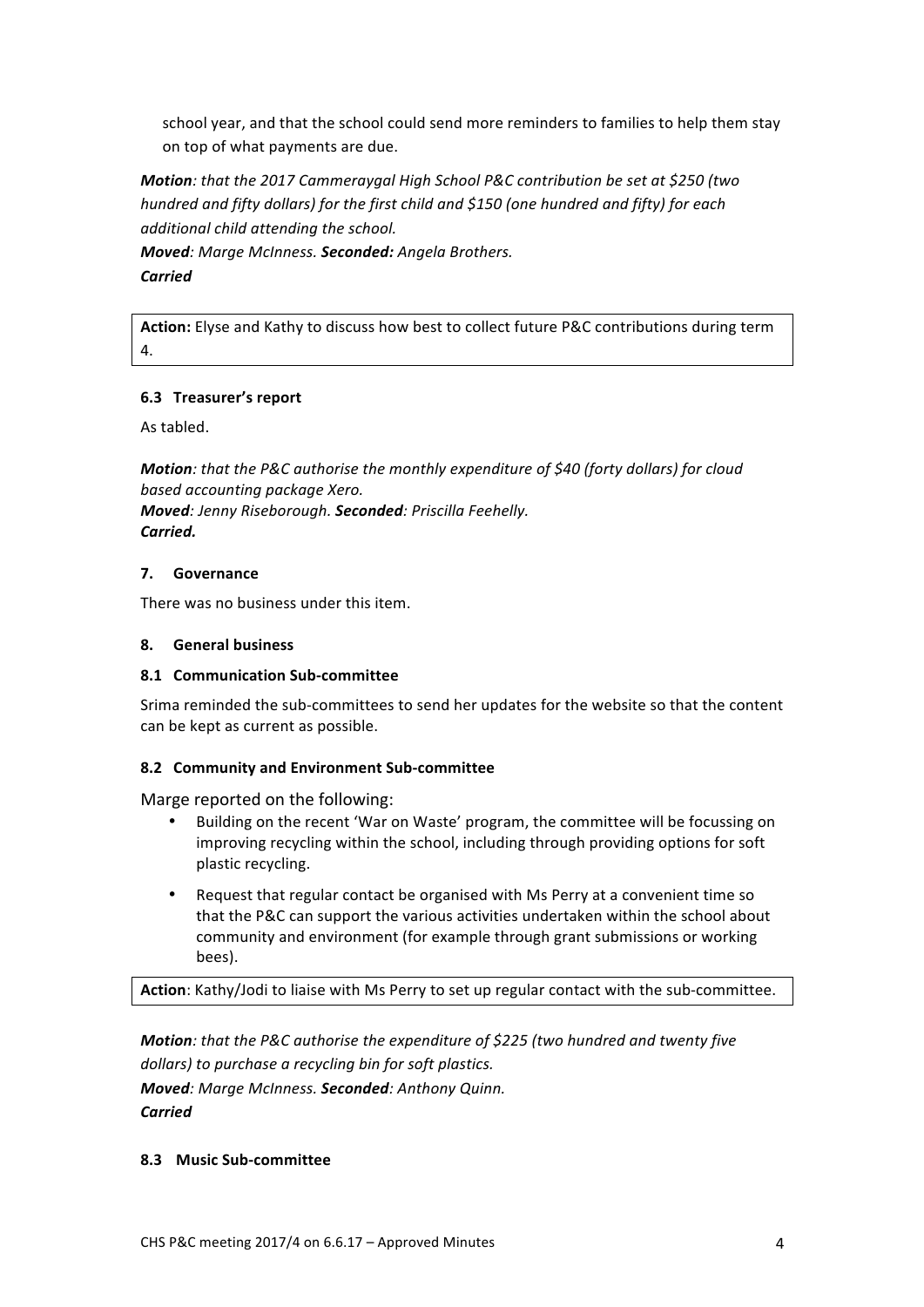school year, and that the school could send more reminders to families to help them stay on top of what payments are due.

*Motion: that the 2017 Cammeraygal High School P&C contribution be set at \$250 (two hundred and fifty dollars)* for the first child and \$150 (one hundred and fifty) for each *additional* child attending the school.

*Moved: Marge McInness. Seconded: Angela Brothers. Carried*

Action: Elyse and Kathy to discuss how best to collect future P&C contributions during term 4.

# **6.3 Treasurer's report**

As tabled.

*Motion:* that the P&C authorise the monthly expenditure of \$40 (forty dollars) for cloud *based accounting package Xero. Moved: Jenny Riseborough. Seconded: Priscilla Feehelly. Carried.*

## **7. Governance**

There was no business under this item.

### **8. General business**

## **8.1 Communication Sub-committee**

Srima reminded the sub-committees to send her updates for the website so that the content can be kept as current as possible.

## **8.2 Community and Environment Sub-committee**

Marge reported on the following:

- Building on the recent 'War on Waste' program, the committee will be focussing on improving recycling within the school, including through providing options for soft plastic recycling.
- Request that regular contact be organised with Ms Perry at a convenient time so that the P&C can support the various activities undertaken within the school about community and environment (for example through grant submissions or working bees).

Action: Kathy/Jodi to liaise with Ms Perry to set up regular contact with the sub-committee.

*Motion:* that the P&C authorise the expenditure of \$225 (two hundred and twenty five dollars) to purchase a recycling bin for soft plastics. *Moved: Marge McInness. Seconded: Anthony Quinn. Carried*

## **8.3 Music Sub-committee**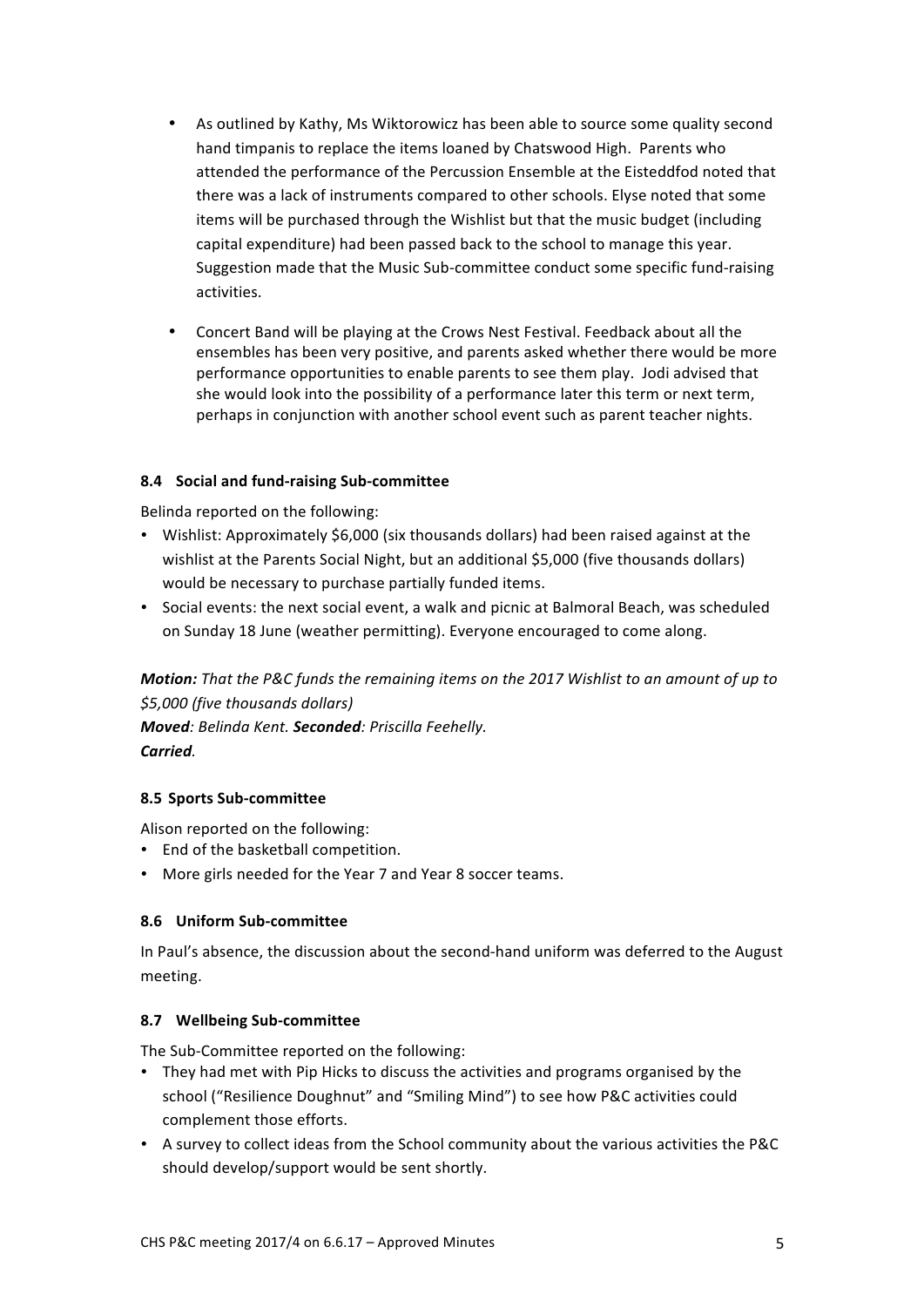- As outlined by Kathy, Ms Wiktorowicz has been able to source some quality second hand timpanis to replace the items loaned by Chatswood High. Parents who attended the performance of the Percussion Ensemble at the Eisteddfod noted that there was a lack of instruments compared to other schools. Elyse noted that some items will be purchased through the Wishlist but that the music budget (including capital expenditure) had been passed back to the school to manage this year. Suggestion made that the Music Sub-committee conduct some specific fund-raising activities.
- Concert Band will be playing at the Crows Nest Festival. Feedback about all the ensembles has been very positive, and parents asked whether there would be more performance opportunities to enable parents to see them play. Jodi advised that she would look into the possibility of a performance later this term or next term, perhaps in conjunction with another school event such as parent teacher nights.

# **8.4 Social and fund-raising Sub-committee**

Belinda reported on the following:

- Wishlist: Approximately \$6,000 (six thousands dollars) had been raised against at the wishlist at the Parents Social Night, but an additional \$5,000 (five thousands dollars) would be necessary to purchase partially funded items.
- Social events: the next social event, a walk and picnic at Balmoral Beach, was scheduled on Sunday 18 June (weather permitting). Everyone encouraged to come along.

*Motion: That the P&C funds the remaining items on the 2017 Wishlist to an amount of up to \$5,000 (five thousands dollars) Moved: Belinda Kent. Seconded: Priscilla Feehelly.*

*Carried.*

## **8.5 Sports Sub-committee**

Alison reported on the following:

- End of the basketball competition.
- More girls needed for the Year 7 and Year 8 soccer teams.

## **8.6 Uniform Sub-committee**

In Paul's absence, the discussion about the second-hand uniform was deferred to the August meeting. 

## **8.7 Wellbeing Sub-committee**

The Sub-Committee reported on the following:

- They had met with Pip Hicks to discuss the activities and programs organised by the school ("Resilience Doughnut" and "Smiling Mind") to see how P&C activities could complement those efforts.
- A survey to collect ideas from the School community about the various activities the P&C should develop/support would be sent shortly.